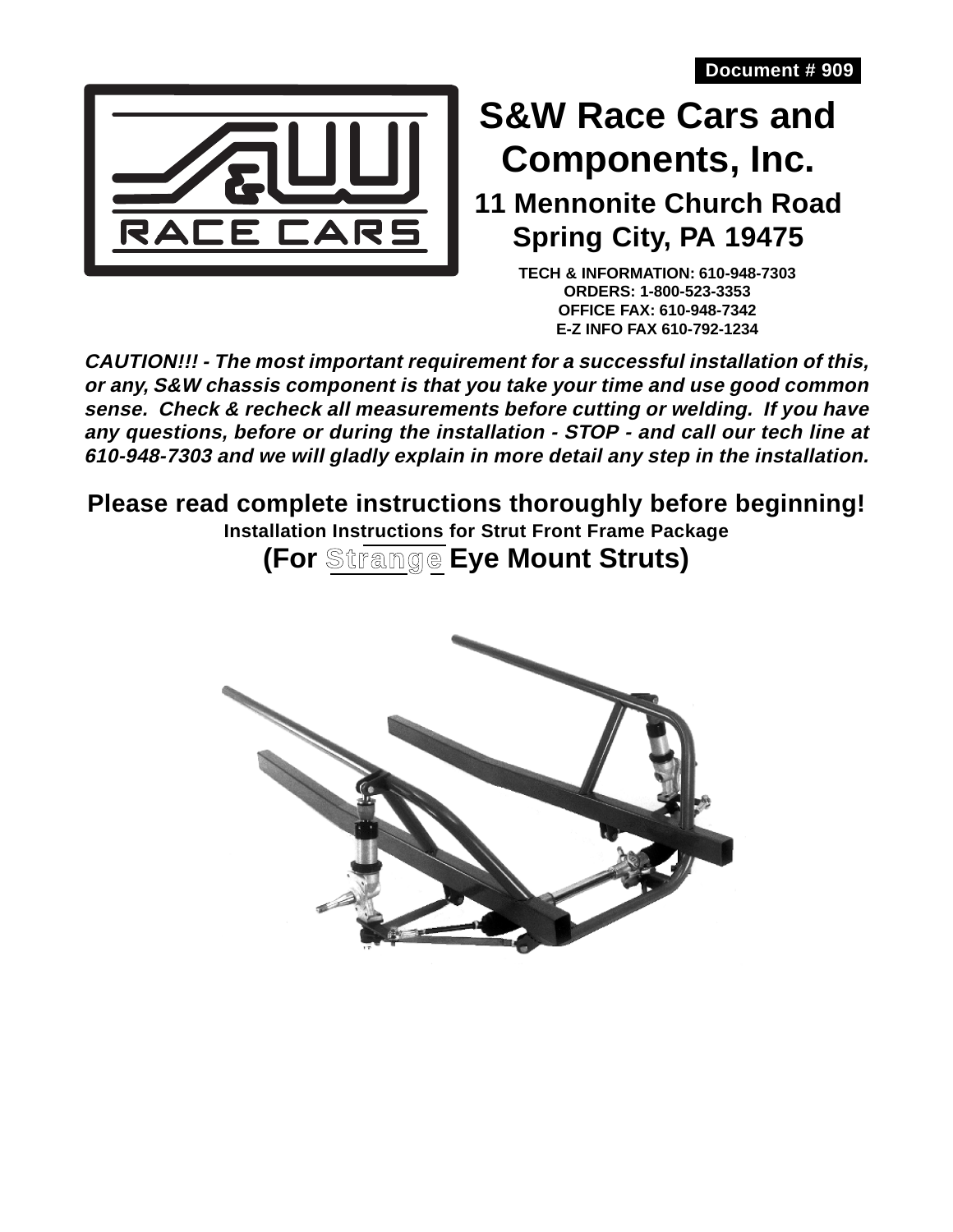

# **S&W Race Cars and Components, Inc.**

**11 Mennonite Church Road Spring City, PA 19475**

> **TECH & INFORMATION: 610-948-7303 ORDERS: 1-800-523-3353 OFFICE FAX: 610-948-7342 E-Z INFO FAX 610-792-1234**

**CAUTION!!! - The most important requirement for a successful installation of this, or any, S&W chassis component is that you take your time and use good common sense. Check & recheck all measurements before cutting or welding. If you have any questions, before or during the installation - STOP - and call our tech line at 610-948-7303 and we will gladly explain in more detail any step in the installation.**

**Please read complete instructions thoroughly before beginning!**

**Installation Instructions for Strut Front Frame Package**

**(For Strange Eye Mount Struts)**

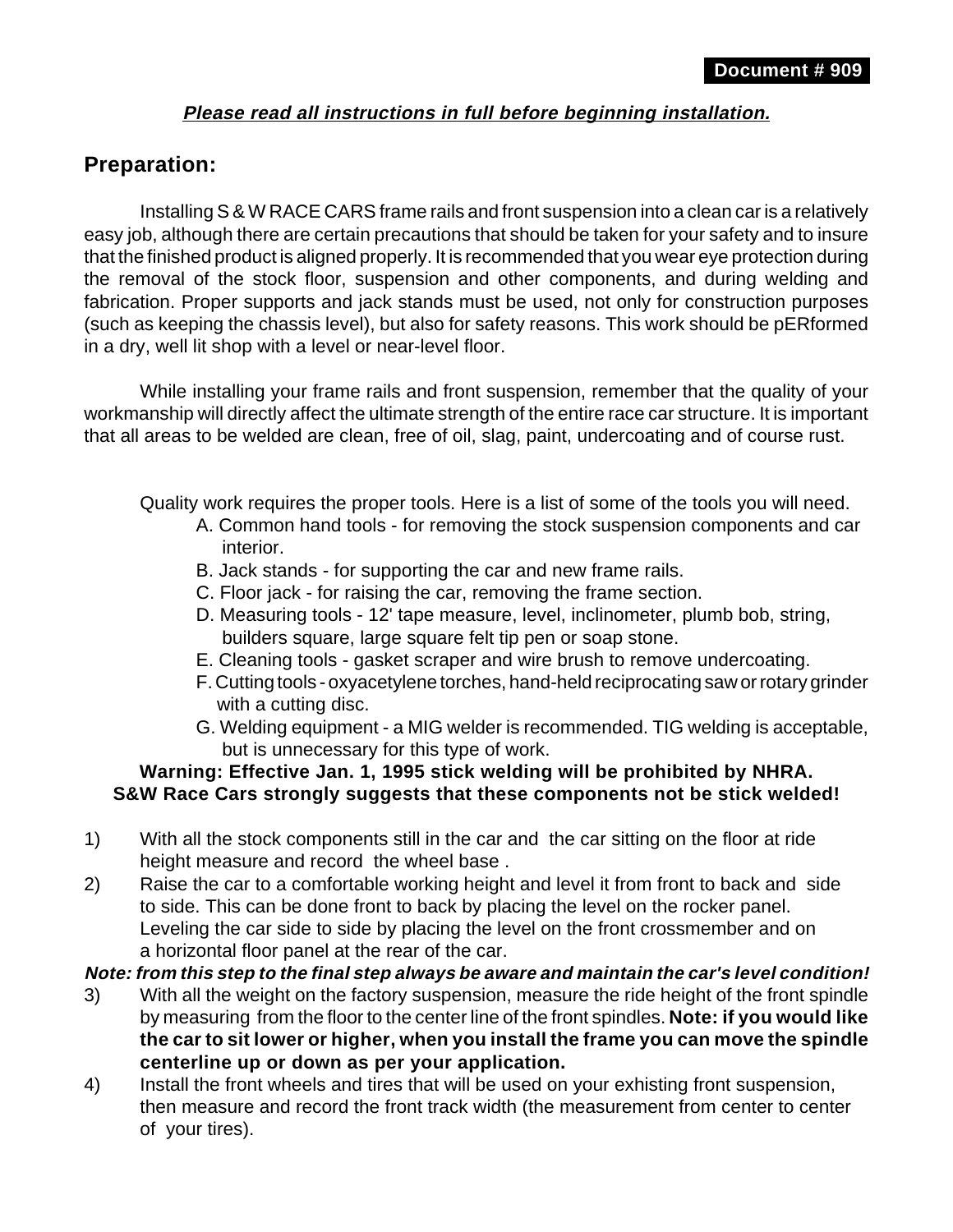### **Please read all instructions in full before beginning installation.**

# **Preparation:**

Installing S & W RACE CARS frame rails and front suspension into a clean car is a relatively easy job, although there are certain precautions that should be taken for your safety and to insure that the finished product is aligned properly. It is recommended that you wear eye protection during the removal of the stock floor, suspension and other components, and during welding and fabrication. Proper supports and jack stands must be used, not only for construction purposes (such as keeping the chassis level), but also for safety reasons. This work should be pERformed in a dry, well lit shop with a level or near-level floor.

While installing your frame rails and front suspension, remember that the quality of your workmanship will directly affect the ultimate strength of the entire race car structure. It is important that all areas to be welded are clean, free of oil, slag, paint, undercoating and of course rust.

Quality work requires the proper tools. Here is a list of some of the tools you will need.

- A. Common hand tools for removing the stock suspension components and car interior.
- B. Jack stands for supporting the car and new frame rails.
- C. Floor jack for raising the car, removing the frame section.
- D. Measuring tools 12' tape measure, level, inclinometer, plumb bob, string, builders square, large square felt tip pen or soap stone.
- E. Cleaning tools gasket scraper and wire brush to remove undercoating.
- F. Cutting tools oxyacetylene torches, hand-held reciprocating saw or rotary grinder with a cutting disc.
- G. Welding equipment a MIG welder is recommended. TIG welding is acceptable, but is unnecessary for this type of work.

#### **Warning: Effective Jan. 1, 1995 stick welding will be prohibited by NHRA. S&W Race Cars strongly suggests that these components not be stick welded!**

- 1) With all the stock components still in the car and the car sitting on the floor at ride height measure and record the wheel base .
- 2) Raise the car to a comfortable working height and level it from front to back and side to side. This can be done front to back by placing the level on the rocker panel. Leveling the car side to side by placing the level on the front crossmember and on a horizontal floor panel at the rear of the car.

**Note: from this step to the final step always be aware and maintain the car's level condition!**

- 3) With all the weight on the factory suspension, measure the ride height of the front spindle by measuring from the floor to the center line of the front spindles. **Note: if you would like the car to sit lower or higher, when you install the frame you can move the spindle centerline up or down as per your application.**
- 4) Install the front wheels and tires that will be used on your exhisting front suspension, then measure and record the front track width (the measurement from center to center of your tires).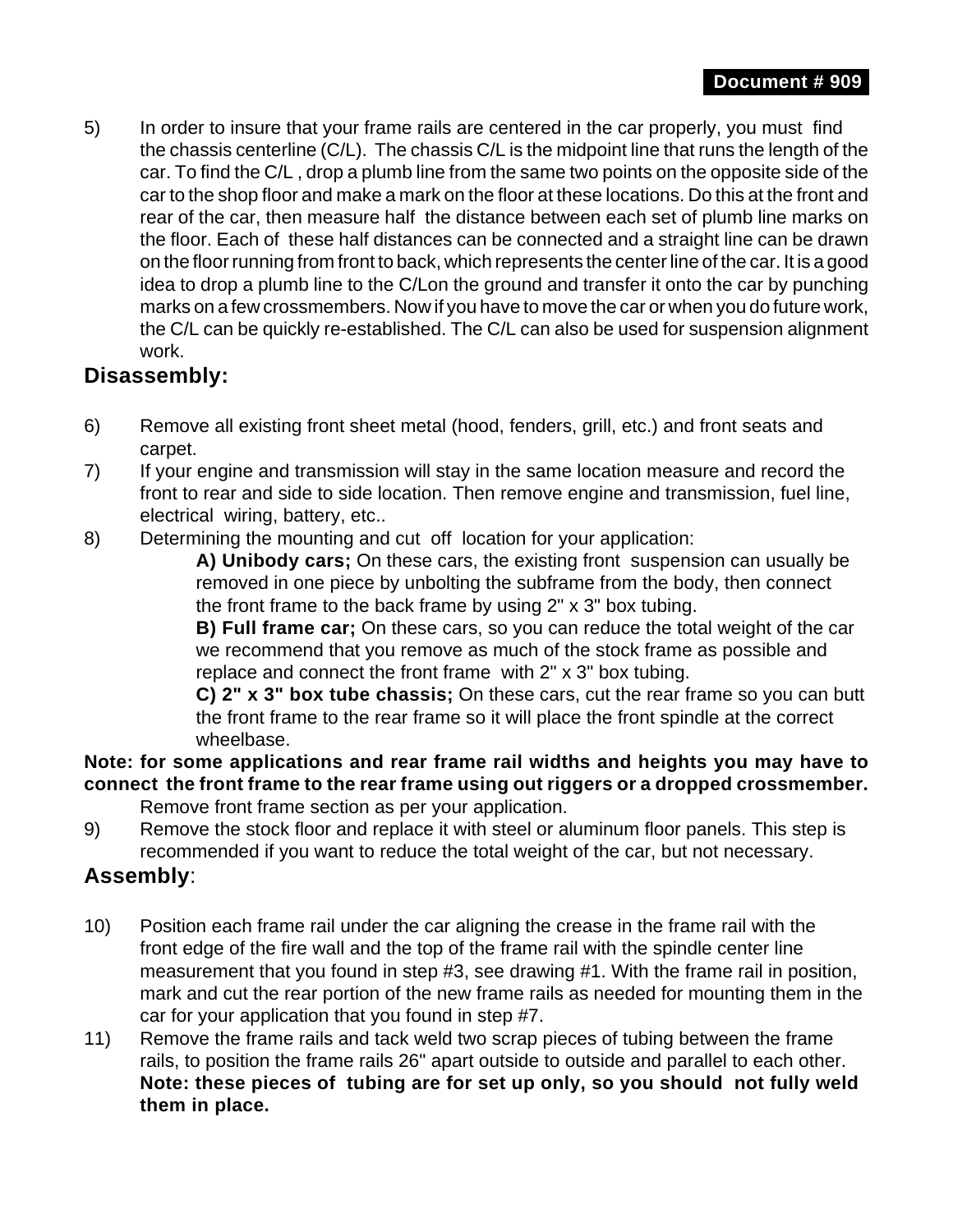5) In order to insure that your frame rails are centered in the car properly, you must find the chassis centerline (C/L). The chassis C/L is the midpoint line that runs the length of the car. To find the C/L , drop a plumb line from the same two points on the opposite side of the car to the shop floor and make a mark on the floor at these locations. Do this at the front and rear of the car, then measure half the distance between each set of plumb line marks on the floor. Each of these half distances can be connected and a straight line can be drawn on the floor running from front to back, which represents the center line of the car. It is a good idea to drop a plumb line to the C/Lon the ground and transfer it onto the car by punching marks on a few crossmembers. Now if you have to move the car or when you do future work, the C/L can be quickly re-established. The C/L can also be used for suspension alignment work.

# **Disassembly:**

- 6) Remove all existing front sheet metal (hood, fenders, grill, etc.) and front seats and carpet.
- 7) If your engine and transmission will stay in the same location measure and record the front to rear and side to side location. Then remove engine and transmission, fuel line, electrical wiring, battery, etc..
- 8) Determining the mounting and cut off location for your application:

**A) Unibody cars;** On these cars, the existing front suspension can usually be removed in one piece by unbolting the subframe from the body, then connect the front frame to the back frame by using 2" x 3" box tubing.

**B) Full frame car;** On these cars, so you can reduce the total weight of the car we recommend that you remove as much of the stock frame as possible and replace and connect the front frame with 2" x 3" box tubing.

**C) 2" x 3" box tube chassis;** On these cars, cut the rear frame so you can butt the front frame to the rear frame so it will place the front spindle at the correct wheelbase.

#### **Note: for some applications and rear frame rail widths and heights you may have to connect the front frame to the rear frame using out riggers or a dropped crossmember.** Remove front frame section as per your application.

9) Remove the stock floor and replace it with steel or aluminum floor panels. This step is recommended if you want to reduce the total weight of the car, but not necessary.

## **Assembly**:

- 10) Position each frame rail under the car aligning the crease in the frame rail with the front edge of the fire wall and the top of the frame rail with the spindle center line measurement that you found in step #3, see drawing #1. With the frame rail in position, mark and cut the rear portion of the new frame rails as needed for mounting them in the car for your application that you found in step #7.
- 11) Remove the frame rails and tack weld two scrap pieces of tubing between the frame rails, to position the frame rails 26" apart outside to outside and parallel to each other. **Note: these pieces of tubing are for set up only, so you should not fully weld them in place.**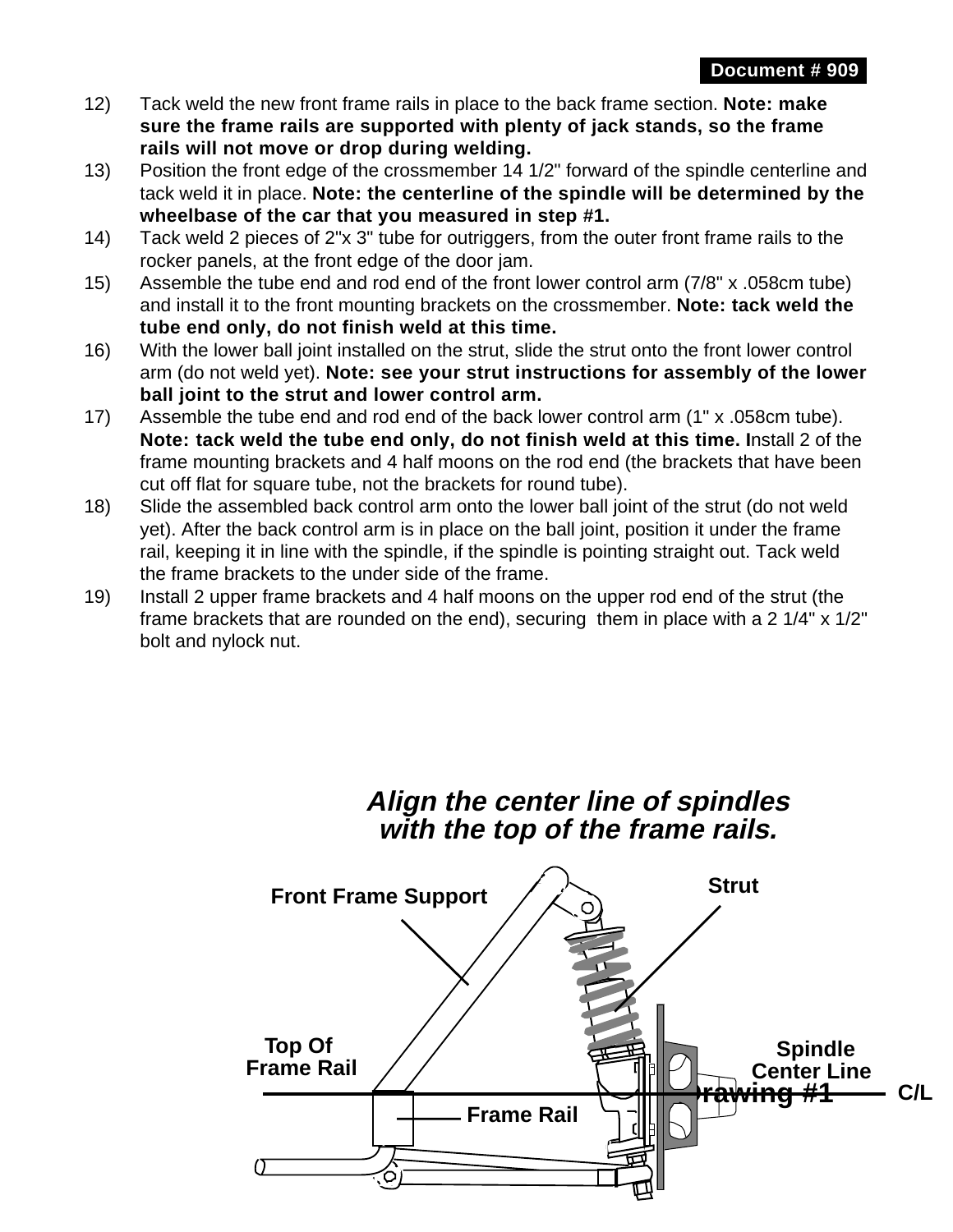- 12) Tack weld the new front frame rails in place to the back frame section. **Note: make sure the frame rails are supported with plenty of jack stands, so the frame rails will not move or drop during welding.**
- 13) Position the front edge of the crossmember 14 1/2" forward of the spindle centerline and tack weld it in place. **Note: the centerline of the spindle will be determined by the wheelbase of the car that you measured in step #1.**
- 14) Tack weld 2 pieces of 2"x 3" tube for outriggers, from the outer front frame rails to the rocker panels, at the front edge of the door jam.
- 15) Assemble the tube end and rod end of the front lower control arm (7/8" x .058cm tube) and install it to the front mounting brackets on the crossmember. **Note: tack weld the tube end only, do not finish weld at this time.**
- 16) With the lower ball joint installed on the strut, slide the strut onto the front lower control arm (do not weld yet). **Note: see your strut instructions for assembly of the lower ball joint to the strut and lower control arm.**
- 17) Assemble the tube end and rod end of the back lower control arm (1" x .058cm tube). **Note: tack weld the tube end only, do not finish weld at this time. I**nstall 2 of the frame mounting brackets and 4 half moons on the rod end (the brackets that have been cut off flat for square tube, not the brackets for round tube).
- 18) Slide the assembled back control arm onto the lower ball joint of the strut (do not weld yet). After the back control arm is in place on the ball joint, position it under the frame rail, keeping it in line with the spindle, if the spindle is pointing straight out. Tack weld the frame brackets to the under side of the frame.
- 19) Install 2 upper frame brackets and 4 half moons on the upper rod end of the strut (the frame brackets that are rounded on the end), securing them in place with a 2 1/4" x 1/2" bolt and nylock nut.

# **Align the center line of spindles with the top of the frame rails.**

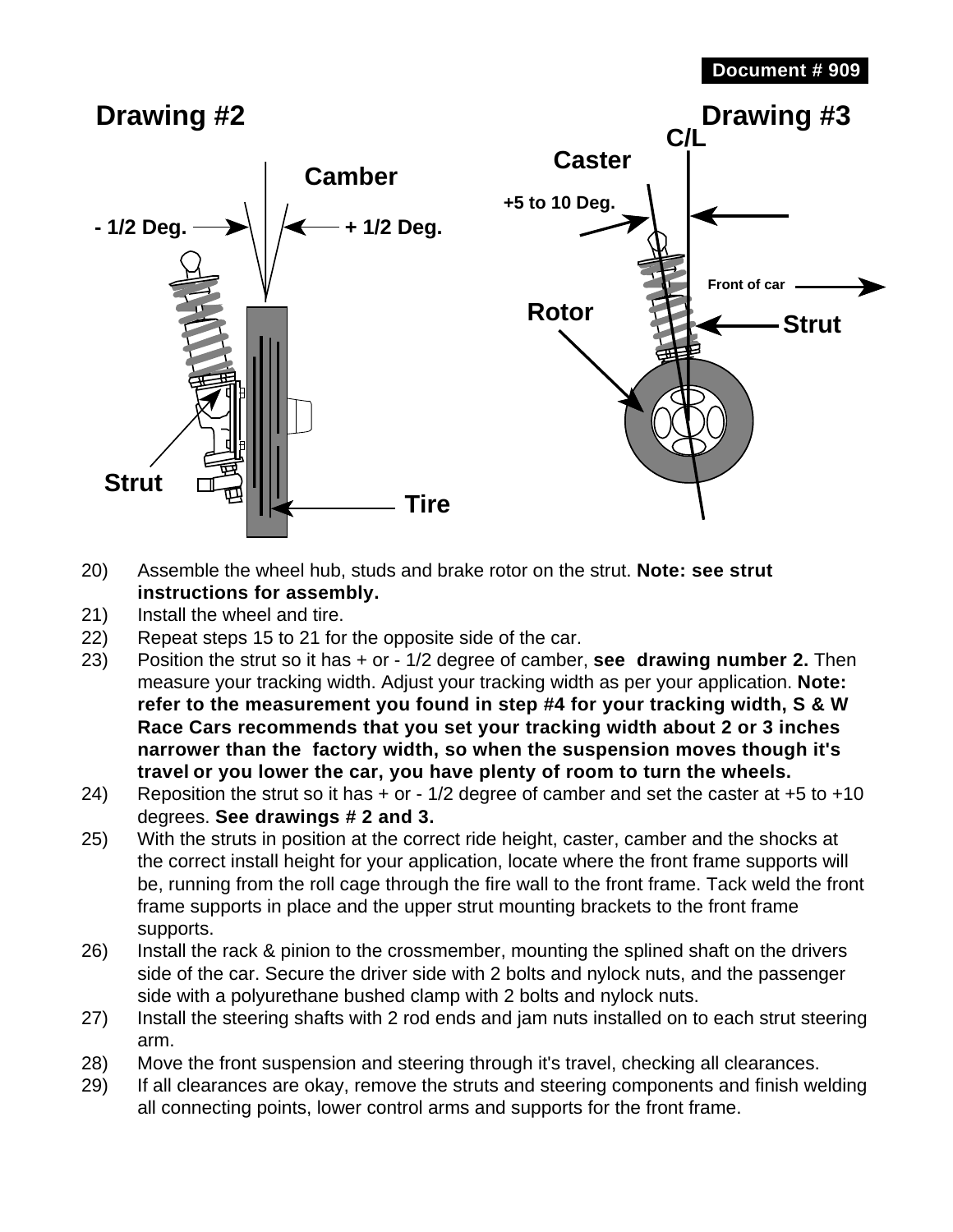

- 20) Assemble the wheel hub, studs and brake rotor on the strut. **Note: see strut instructions for assembly.**
- 21) Install the wheel and tire.
- 22) Repeat steps 15 to 21 for the opposite side of the car.
- 23) Position the strut so it has + or 1/2 degree of camber, **see drawing number 2.** Then measure your tracking width. Adjust your tracking width as per your application. **Note: refer to the measurement you found in step #4 for your tracking width, S & W Race Cars recommends that you set your tracking width about 2 or 3 inches narrower than the factory width, so when the suspension moves though it's travel or you lower the car, you have plenty of room to turn the wheels.**
- 24) Reposition the strut so it has  $+$  or  $-1/2$  degree of camber and set the caster at  $+5$  to  $+10$ degrees. **See drawings # 2 and 3.**
- 25) With the struts in position at the correct ride height, caster, camber and the shocks at the correct install height for your application, locate where the front frame supports will be, running from the roll cage through the fire wall to the front frame. Tack weld the front frame supports in place and the upper strut mounting brackets to the front frame supports.
- 26) Install the rack & pinion to the crossmember, mounting the splined shaft on the drivers side of the car. Secure the driver side with 2 bolts and nylock nuts, and the passenger side with a polyurethane bushed clamp with 2 bolts and nylock nuts.
- 27) Install the steering shafts with 2 rod ends and jam nuts installed on to each strut steering arm.
- 28) Move the front suspension and steering through it's travel, checking all clearances.
- 29) If all clearances are okay, remove the struts and steering components and finish welding all connecting points, lower control arms and supports for the front frame.